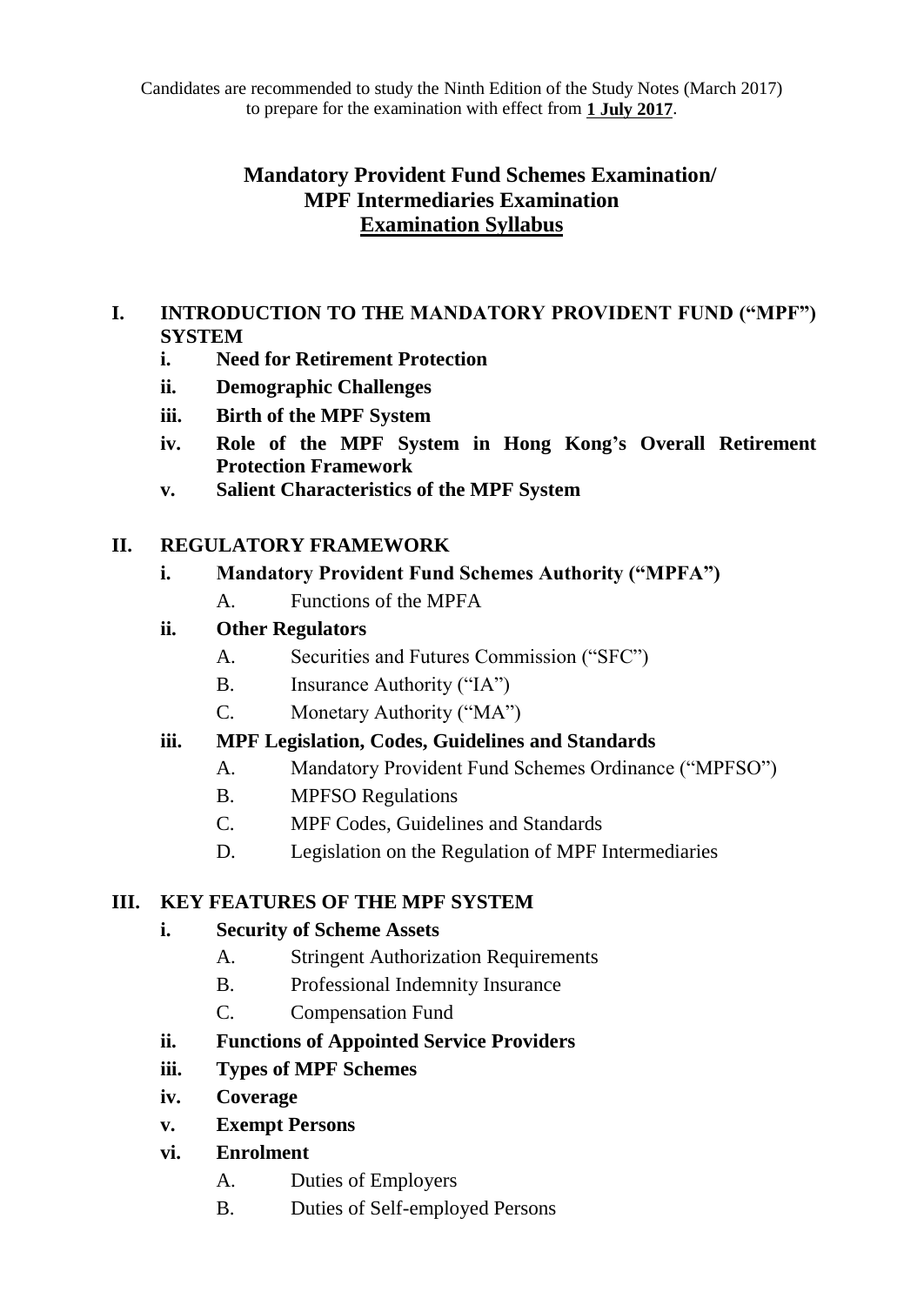Candidates are recommended to study the Ninth Edition of the Study Notes (March 2017) to prepare for the examination with effect from **1 July 2017**.

## **Mandatory Provident Fund Schemes Examination/ MPF Intermediaries Examination Examination Syllabus**

### **I. INTRODUCTION TO THE MANDATORY PROVIDENT FUND ("MPF") SYSTEM**

- **i. Need for Retirement Protection**
- **ii. Demographic Challenges**
- **iii. Birth of the MPF System**
- **iv. Role of the MPF System in Hong Kong's Overall Retirement Protection Framework**
- **v. Salient Characteristics of the MPF System**

### **II. REGULATORY FRAMEWORK**

- **i. Mandatory Provident Fund Schemes Authority ("MPFA")**
	- A. Functions of the MPFA

### **ii. Other Regulators**

- A. Securities and Futures Commission ("SFC")
- B. Insurance Authority ("IA")
- C. Monetary Authority ("MA")

#### **iii. MPF Legislation, Codes, Guidelines and Standards**

- A. Mandatory Provident Fund Schemes Ordinance ("MPFSO")
- B. MPFSO Regulations
- C. MPF Codes, Guidelines and Standards
- D. Legislation on the Regulation of MPF Intermediaries

#### **III. KEY FEATURES OF THE MPF SYSTEM**

### **i. Security of Scheme Assets**

- A. Stringent Authorization Requirements
- B. Professional Indemnity Insurance
- C. Compensation Fund

## **ii. Functions of Appointed Service Providers**

- **iii. Types of MPF Schemes**
- **iv. Coverage**
- **v. Exempt Persons**

#### **vi. Enrolment**

- A. Duties of Employers
- B. Duties of Self-employed Persons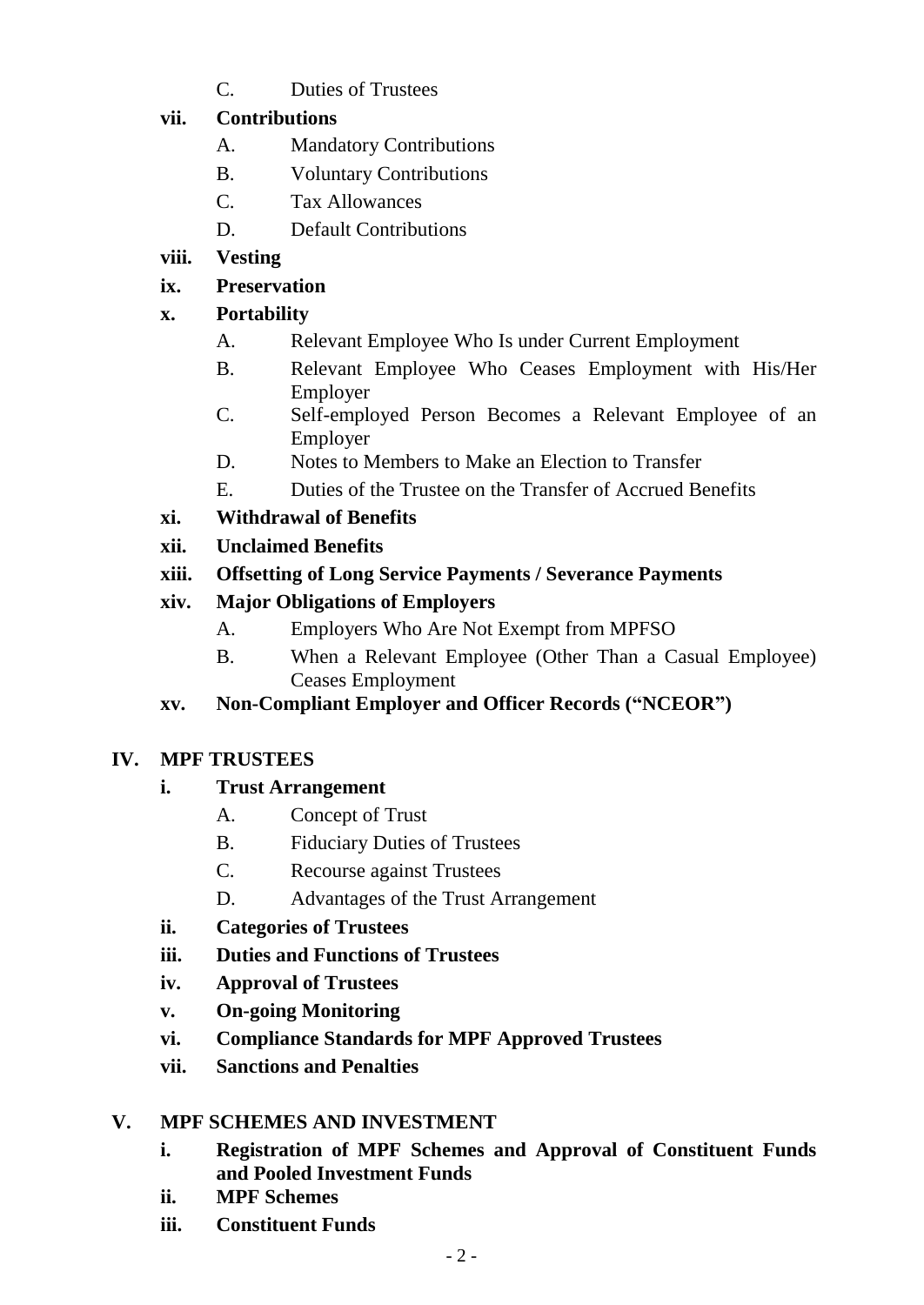## C. Duties of Trustees

## **vii. Contributions**

- A. Mandatory Contributions
- B. Voluntary Contributions
- C. Tax Allowances
- D. Default Contributions
- **viii. Vesting**

## **ix. Preservation**

# **x. Portability**

- A. Relevant Employee Who Is under Current Employment
- B. Relevant Employee Who Ceases Employment with His/Her Employer
- C. Self-employed Person Becomes a Relevant Employee of an Employer
- D. Notes to Members to Make an Election to Transfer
- E. Duties of the Trustee on the Transfer of Accrued Benefits
- **xi. Withdrawal of Benefits**

# **xii. Unclaimed Benefits**

**xiii. Offsetting of Long Service Payments / Severance Payments**

# **xiv. Major Obligations of Employers**

- A. Employers Who Are Not Exempt from MPFSO
- B. When a Relevant Employee (Other Than a Casual Employee) Ceases Employment
- **xv. Non-Compliant Employer and Officer Records ("NCEOR")**

# **IV. MPF TRUSTEES**

# **i. Trust Arrangement**

- A. Concept of Trust
- B. Fiduciary Duties of Trustees
- C. Recourse against Trustees
- D. Advantages of the Trust Arrangement
- **ii. Categories of Trustees**
- **iii. Duties and Functions of Trustees**
- **iv. Approval of Trustees**
- **v. On-going Monitoring**
- **vi. Compliance Standards for MPF Approved Trustees**
- **vii. Sanctions and Penalties**

# **V. MPF SCHEMES AND INVESTMENT**

- **i. Registration of MPF Schemes and Approval of Constituent Funds and Pooled Investment Funds**
- **ii. MPF Schemes**
- **iii. Constituent Funds**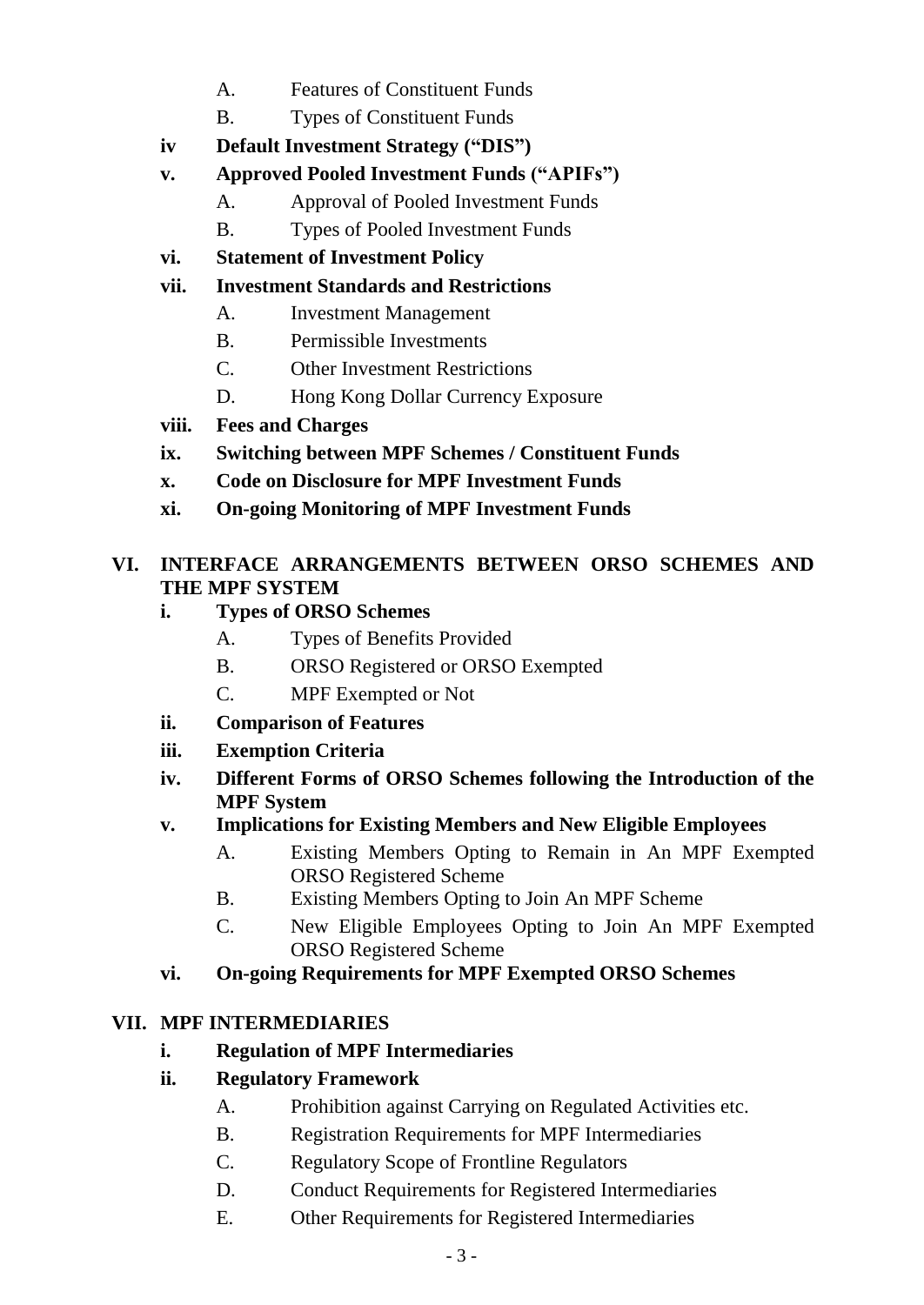- A. Features of Constituent Funds
- B. Types of Constituent Funds
- **iv Default Investment Strategy ("DIS")**
- **v. Approved Pooled Investment Funds ("APIFs")**
	- A. Approval of Pooled Investment Funds
	- B. Types of Pooled Investment Funds
- **vi. Statement of Investment Policy**
- **vii. Investment Standards and Restrictions**
	- A. Investment Management
	- B. Permissible Investments
	- C. Other Investment Restrictions
	- D. Hong Kong Dollar Currency Exposure
- **viii. Fees and Charges**
- **ix. Switching between MPF Schemes / Constituent Funds**
- **x. Code on Disclosure for MPF Investment Funds**
- **xi. On-going Monitoring of MPF Investment Funds**

## **VI. INTERFACE ARRANGEMENTS BETWEEN ORSO SCHEMES AND THE MPF SYSTEM**

- **i. Types of ORSO Schemes**
	- A. Types of Benefits Provided
	- B. ORSO Registered or ORSO Exempted
	- C. MPF Exempted or Not
- **ii. Comparison of Features**
- **iii. Exemption Criteria**
- **iv. Different Forms of ORSO Schemes following the Introduction of the MPF System**
- **v. Implications for Existing Members and New Eligible Employees**
	- A. Existing Members Opting to Remain in An MPF Exempted ORSO Registered Scheme
	- B. Existing Members Opting to Join An MPF Scheme
	- C. New Eligible Employees Opting to Join An MPF Exempted ORSO Registered Scheme
- **vi. On-going Requirements for MPF Exempted ORSO Schemes**

# **VII. MPF INTERMEDIARIES**

- **i. Regulation of MPF Intermediaries**
- **ii. Regulatory Framework**
	- A. Prohibition against Carrying on Regulated Activities etc.
	- B. Registration Requirements for MPF Intermediaries
	- C. Regulatory Scope of Frontline Regulators
	- D. Conduct Requirements for Registered Intermediaries
	- E. Other Requirements for Registered Intermediaries